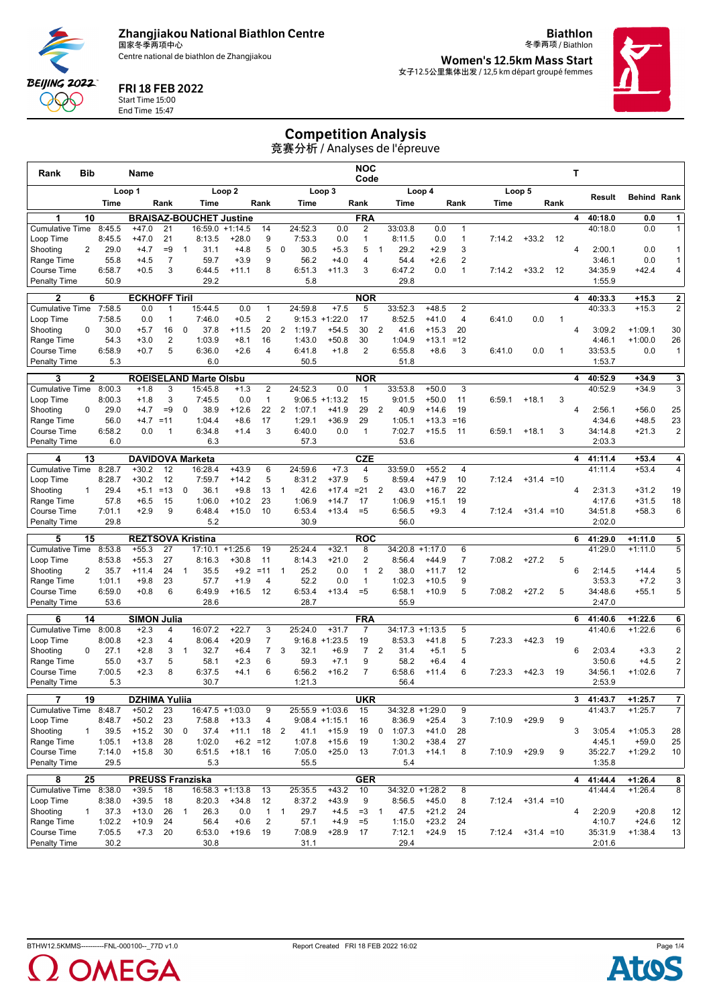**Zhangjiakou National Biathlon Centre** 国家冬季两项中心

Centre national de biathlon de Zhangjiakou

冬季两项 / Biathlon **Women's 12.5km Mass Start** 女子12.5公里集体出发 / 12,5 km départ groupé femmes

**Biathlon**



### FRI 18 FEB 2022

**BEIJING 2022** DQQ C

Start Time 15:00

End Time 15:47

Competition Analysis

竞赛分析 / Analyses de l'épreuve

| Rank                                      | Bib             |                | Name                                |                    |              |                                |                   |                  |                |                   | NOC<br>Code                  |                   |                |                           | T                  |                   |        |              |      |   |                    |                        |                                |
|-------------------------------------------|-----------------|----------------|-------------------------------------|--------------------|--------------|--------------------------------|-------------------|------------------|----------------|-------------------|------------------------------|-------------------|----------------|---------------------------|--------------------|-------------------|--------|--------------|------|---|--------------------|------------------------|--------------------------------|
|                                           |                 |                | Loop 1<br>Loop <sub>2</sub>         |                    |              |                                |                   |                  |                |                   | Loop 3                       |                   |                |                           | Loop 4             |                   |        | Loop 5       |      |   |                    |                        |                                |
|                                           |                 | Time           |                                     | Rank               |              | Time                           |                   | Rank             |                | Time              |                              | Rank              |                | Time                      |                    | Rank              | Time   |              | Rank |   | Result             | Behind Rank            |                                |
| 1                                         | 10              |                |                                     |                    |              | <b>BRAISAZ-BOUCHET Justine</b> |                   |                  |                |                   |                              | <b>FRA</b>        |                |                           |                    |                   |        |              |      | 4 | 40:18.0            | 0.0                    | 1                              |
| <b>Cumulative Time</b>                    |                 | 8:45.5         | $+47.0$                             | 21                 |              | 16:59.0                        | $+1:14.5$         | 14               |                | 24:52.3           | 0.0                          | 2                 |                | 33:03.8                   | 0.0                | $\mathbf{1}$      |        |              |      |   | 40:18.0            | 0.0                    | 1                              |
| Loop Time<br>Shooting                     | $\overline{2}$  | 8:45.5<br>29.0 | $+47.0$<br>$+4.7$                   | 21<br>$=9$         | $\mathbf{1}$ | 8:13.5<br>31.1                 | $+28.0$<br>$+4.8$ | 9<br>5           | 0              | 7:53.3<br>30.5    | 0.0<br>$+5.3$                | $\mathbf{1}$<br>5 | $\mathbf{1}$   | 8:11.5<br>29.2            | 0.0<br>$+2.9$      | $\mathbf{1}$<br>3 | 7:14.2 | $+33.2$      | -12  | 4 | 2:00.1             | 0.0                    | 1                              |
| Range Time                                |                 | 55.8           | $+4.5$                              | $\overline{7}$     |              | 59.7                           | $+3.9$            | 9                |                | 56.2              | $+4.0$                       | 4                 |                | 54.4                      | $+2.6$             | $\overline{c}$    |        |              |      |   | 3:46.1             | 0.0                    | 1                              |
| Course Time                               |                 | 6:58.7         | $+0.5$                              | 3                  |              | 6:44.5                         | $+11.1$           | 8                |                | 6:51.3            | $+11.3$                      | 3                 |                | 6:47.2                    | 0.0                | $\mathbf{1}$      | 7:14.2 | $+33.2$      | 12   |   | 34:35.9            | $+42.4$                | 4                              |
| <b>Penalty Time</b>                       |                 | 50.9           |                                     |                    |              | 29.2                           |                   |                  |                | 5.8               |                              |                   |                | 29.8                      |                    |                   |        |              |      |   | 1:55.9             |                        |                                |
| 2                                         | 6               |                | <b>ECKHOFF Tiril</b>                |                    |              |                                |                   |                  |                |                   |                              | <b>NOR</b>        |                |                           |                    |                   |        |              |      | 4 | 40:33.3            | $+15.3$                | 2                              |
| <b>Cumulative Time</b>                    |                 | 7:58.5         | 0.0                                 | 1                  |              | 15:44.5                        | 0.0               | $\overline{1}$   |                | 24:59.8           | $+7.5$                       | 5                 |                | 33:52.3                   | $+48.5$            | $\overline{2}$    |        |              |      |   | 40:33.3            | $+15.3$                | $\overline{2}$                 |
| Loop Time<br>Shooting                     | 0               | 7:58.5<br>30.0 | 0.0<br>$+5.7$                       | $\mathbf{1}$<br>16 | $\mathbf 0$  | 7:46.0<br>37.8                 | $+0.5$<br>$+11.5$ | $\sqrt{2}$<br>20 | $\overline{2}$ | 1:19.7            | $9:15.3 + 1:22.0$<br>$+54.5$ | 17<br>30          | $\overline{2}$ | 8:52.5<br>41.6            | $+41.0$<br>$+15.3$ | 4<br>20           | 6:41.0 | 0.0          | -1   | 4 | 3:09.2             | $+1:09.1$              | 30                             |
| Range Time                                |                 | 54.3           | $+3.0$                              | 2                  |              | 1:03.9                         | $+8.1$            | 16               |                | 1:43.0            | $+50.8$                      | 30                |                | 1:04.9                    | $+13.1$            | $=12$             |        |              |      |   | 4:46.1             | $+1:00.0$              | 26                             |
| Course Time                               |                 | 6:58.9         | $+0.7$                              | 5                  |              | 6:36.0                         | $+2.6$            | $\overline{4}$   |                | 6:41.8            | $+1.8$                       | $\overline{2}$    |                | 6:55.8                    | $+8.6$             | 3                 | 6:41.0 | 0.0          | 1    |   | 33:53.5            | 0.0                    | $\mathbf{1}$                   |
| <b>Penalty Time</b>                       |                 | 5.3            |                                     |                    |              | 6.0                            |                   |                  |                | 50.5              |                              |                   |                | 51.8                      |                    |                   |        |              |      |   | 1:53.7             |                        |                                |
| 3                                         | $\mathbf{2}$    |                |                                     |                    |              | <b>ROEISELAND Marte Olsbu</b>  |                   |                  |                |                   |                              | <b>NOR</b>        |                |                           |                    |                   |        |              |      | 4 | 40:52.9            | $+34.9$                | 3 <sup>1</sup>                 |
| <b>Cumulative Time</b>                    |                 | 8:00.3         | $+1.8$                              | 3                  |              | 15:45.8                        | $+1.3$            | $\overline{2}$   |                | 24:52.3           | 0.0                          | -1                |                | 33:53.8                   | $+50.0$            | 3                 |        |              |      |   | 40:52.9            | $+34.9$                | 3                              |
| Loop Time                                 |                 | 8:00.3         | $+1.8$                              | 3                  |              | 7:45.5                         | 0.0               | $\overline{1}$   |                | 9:06.5            | $+1:13.2$                    | 15                |                | 9:01.5                    | $+50.0$            | 11                | 6:59.1 | $+18.1$      | 3    |   |                    |                        |                                |
| Shooting                                  | 0               | 29.0<br>56.0   | $+4.7$<br>$+4.7$                    | $=9$<br>$=11$      | $\mathbf 0$  | 38.9<br>1:04.4                 | $+12.6$<br>$+8.6$ | 22<br>17         | 2              | 1:07.1<br>1:29.1  | $+41.9$<br>$+36.9$           | 29<br>29          | $\overline{2}$ | 40.9<br>1:05.1            | $+14.6$<br>$+13.3$ | 19<br>$=16$       |        |              |      | 4 | 2:56.1<br>4:34.6   | $+56.0$<br>$+48.5$     | 25<br>23                       |
| Range Time<br>Course Time                 |                 | 6:58.2         | 0.0                                 | $\mathbf{1}$       |              | 6:34.8                         | $+1.4$            | 3                |                | 6:40.0            | 0.0                          | $\mathbf{1}$      |                | 7:02.7                    | $+15.5$            | 11                | 6:59.1 | $+18.1$      | 3    |   | 34:14.8            | $+21.3$                | $\overline{2}$                 |
| <b>Penalty Time</b>                       |                 | 6.0            |                                     |                    |              | 6.3                            |                   |                  |                | 57.3              |                              |                   |                | 53.6                      |                    |                   |        |              |      |   | 2:03.3             |                        |                                |
| 4                                         | 13              |                | <b>DAVIDOVA Marketa</b>             |                    |              |                                |                   |                  |                |                   |                              | <b>CZE</b>        |                |                           |                    |                   |        |              |      | 4 | 41:11.4            | $+53.4$                | $\vert$ 4                      |
| <b>Cumulative Time</b>                    |                 | 8:28.7         | $+30.2$                             | 12                 |              | 16:28.4                        | $+43.9$           | 6                |                | 24:59.6           | $+7.3$                       | 4                 |                | 33:59.0                   | $+55.2$            | 4                 |        |              |      |   | 41:11.4            | $+53.4$                | 4                              |
| Loop Time                                 |                 | 8:28.7         | $+30.2$                             | 12                 |              | 7:59.7                         | $+14.2$           | 5                |                | 8:31.2            | $+37.9$                      | 5                 |                | 8:59.4                    | $+47.9$            | 10                | 7:12.4 | $+31.4 = 10$ |      |   |                    |                        |                                |
| Shooting                                  | $\mathbf{1}$    | 29.4           | $+5.1$                              | $=13$              | 0            | 36.1                           | $+9.8$            | 13               | $\overline{1}$ | 42.6              | $+17.4$                      | $= 21$            | 2              | 43.0                      | $+16.7$            | 22                |        |              |      | 4 | 2:31.3             | $+31.2$                | 19                             |
| Range Time                                |                 | 57.8           | $+6.5$                              | 15<br>9            |              | 1:06.0                         | $+10.2$           | 23<br>10         |                | 1:06.9            | $+14.7$                      | 17                |                | 1:06.9                    | $+15.1$            | 19                |        |              |      |   | 4:17.6             | $+31.5$                | 18                             |
| <b>Course Time</b><br><b>Penalty Time</b> |                 | 7:01.1<br>29.8 | $+2.9$                              |                    |              | 6:48.4<br>5.2                  | $+15.0$           |                  |                | 6:53.4<br>30.9    | $+13.4$                      | $=5$              |                | 6:56.5<br>56.0            | $+9.3$             | 4                 | 7:12.4 | $+31.4 = 10$ |      |   | 34:51.8<br>2:02.0  | $+58.3$                | 6                              |
| 5                                         |                 |                |                                     |                    |              |                                |                   |                  |                |                   |                              |                   |                |                           |                    |                   |        |              |      | 6 | 41:29.0            |                        |                                |
| <b>Cumulative Time</b>                    | 15              | 8:53.8         | <b>REZTSOVA Kristina</b><br>$+55.3$ | 27                 |              | 17:10.1                        | $+1:25.6$         | 19               |                | 25:24.4           | $+32.1$                      | <b>ROC</b><br>8   |                | $34:20.8 +1:17.0$         |                    | 6                 |        |              |      |   | 41:29.0            | $+1:11.0$<br>$+1:11.0$ | 5<br>5                         |
| Loop Time                                 |                 | 8:53.8         | $+55.3$                             | 27                 |              | 8:16.3                         | $+30.8$           | 11               |                | 8:14.3            | $+21.0$                      | 2                 |                | 8:56.4                    | $+44.9$            | $\overline{7}$    | 7:08.2 | $+27.2$      | 5    |   |                    |                        |                                |
| Shooting                                  | 2               | 35.7           | $+11.4$                             | 24                 | $\mathbf{1}$ | 35.5                           | $+9.2$            | $=11$            | $\mathbf{1}$   | 25.2              | 0.0                          | $\mathbf{1}$      | $\overline{2}$ | 38.0                      | $+11.7$            | 12                |        |              |      | 6 | 2:14.5             | $+14.4$                | 5                              |
| Range Time                                |                 | 1:01.1         | $+9.8$                              | 23                 |              | 57.7                           | $+1.9$            | 4                |                | 52.2              | 0.0                          | $\mathbf{1}$      |                | 1:02.3                    | $+10.5$            | 9                 |        |              |      |   | 3:53.3             | $+7.2$                 | 3                              |
| Course Time<br><b>Penalty Time</b>        |                 | 6:59.0<br>53.6 | $+0.8$                              | 6                  |              | 6:49.9<br>28.6                 | $+16.5$           | 12               |                | 6:53.4<br>28.7    | $+13.4$                      | $=5$              |                | 6:58.1<br>55.9            | $+10.9$            | 5                 | 7:08.2 | $+27.2$      | 5    |   | 34:48.6<br>2:47.0  | $+55.1$                | 5                              |
|                                           |                 |                |                                     |                    |              |                                |                   |                  |                |                   |                              | <b>FRA</b>        |                |                           |                    |                   |        |              |      | 6 |                    | $+1:22.6$              |                                |
| 6<br><b>Cumulative Time</b>               | 14              | 8:00.8         | <b>SIMON Julia</b><br>$+2.3$        | 4                  |              | 16:07.2                        | $+22.7$           | 3                |                | 25:24.0           | $+31.7$                      | $\overline{7}$    |                | 34:17.3                   | $+1:13.5$          | 5                 |        |              |      |   | 41:40.6<br>41:40.6 | $+1:22.6$              | 6<br>6                         |
| Loop Time                                 |                 | 8:00.8         | $+2.3$                              | 4                  |              | 8:06.4                         | $+20.9$           | $\overline{7}$   |                |                   | $9:16.8 + 1:23.5$            | 19                |                | 8:53.3                    | $+41.8$            | 5                 | 7:23.3 | $+42.3$      | 19   |   |                    |                        |                                |
| Shooting                                  | 0               | 27.1           | $+2.8$                              | 3                  | $\mathbf{1}$ | 32.7                           | $+6.4$            | $\overline{7}$   | 3              | 32.1              | $+6.9$                       | $\overline{7}$    | $\overline{2}$ | 31.4                      | $+5.1$             | 5                 |        |              |      | 6 | 2:03.4             | $+3.3$                 | 2                              |
| Range Time                                |                 | 55.0           | $+3.7$                              | 5                  |              | 58.1                           | $+2.3$            | 6                |                | 59.3              | $+7.1$                       | 9                 |                | 58.2                      | $+6.4$             | 4                 |        |              |      |   | 3:50.6             | $+4.5$                 | $\overline{2}$                 |
| Course Time<br><b>Penalty Time</b>        |                 | 7:00.5<br>5.3  | $+2.3$                              | 8                  |              | 6:37.5<br>30.7                 | $+4.1$            | 6                |                | 6:56.2<br>1:21.3  | $+16.2$                      | $\overline{7}$    |                | 6:58.6<br>56.4            | $+11.4$            | 6                 | 7:23.3 | $+42.3$      | 19   |   | 34:56.1<br>2:53.9  | $+1:02.6$              | 7 <sup>1</sup>                 |
|                                           |                 |                |                                     |                    |              |                                |                   |                  |                |                   |                              |                   |                |                           |                    |                   |        |              |      |   |                    |                        |                                |
| 7<br>Cumulative Time 8:48.7               | 19              |                | <b>DZHIMA Yulija</b><br>$+50.2$     | 23                 |              | 16:47.5 +1:03.0                |                   | 9                |                |                   | 25:55.9 +1:03.6              | <b>UKR</b><br>15  |                | $34:32.8 +1:29.0$         |                    | 9                 |        |              |      | 3 | 41:43.7<br>41:43.7 | $+1:25.7$<br>$+1:25.7$ | $\mathbf{7}$<br>$\overline{7}$ |
| Loop Time                                 |                 | 8:48.7         | $+50.2$                             | 23                 |              | 7:58.8                         | $+13.3$           | 4                |                |                   | $9:08.4 +1:15.1$             | 16                |                | 8:36.9                    | $+25.4$            | 3                 | 7:10.9 | $+29.9$      | 9    |   |                    |                        |                                |
| Shooting                                  | $\mathbf{1}$    | 39.5           | $+15.2$                             | 30                 | 0            | 37.4                           | $+11.1$           | 18               | $\overline{2}$ | 41.1              | $+15.9$                      | 19                |                | 0 1:07.3                  | $+41.0$            | 28                |        |              |      | 3 | 3:05.4             | $+1:05.3$              | 28                             |
| Range Time                                |                 | 1:05.1         | $+13.8$                             | 28                 |              | 1:02.0                         | $+6.2 = 12$       |                  |                | 1:07.8            | $+15.6$                      | 19                |                | 1:30.2                    | $+38.4$            | 27                |        |              |      |   | 4:45.1             | $+59.0$                | 25                             |
| Course Time                               |                 | 7:14.0         | $+15.8$                             | 30                 |              | 6:51.5                         | $+18.1$           | 16               |                | 7:05.0            | $+25.0$                      | 13                |                | 7:01.3                    | $+14.1$            | 8                 | 7:10.9 | $+29.9$      | 9    |   | 35:22.7            | $+1:29.2$              | 10                             |
| <b>Penalty Time</b>                       |                 | 29.5           |                                     |                    |              | 5.3                            |                   |                  |                | 55.5              |                              |                   |                | 5.4                       |                    |                   |        |              |      |   | 1:35.8             |                        |                                |
| 8<br>Cumulative Time 8:38.0               | $\overline{25}$ |                | <b>PREUSS Franziska</b>             |                    |              |                                |                   |                  |                |                   |                              | <b>GER</b>        |                |                           |                    |                   |        |              |      | 4 | 41:44.4<br>41:44.4 | $+1:26.4$              | 8 <sup>1</sup>                 |
| Loop Time                                 |                 | 8:38.0         | $+39.5$<br>$+39.5$                  | 18<br>18           |              | $16:58.3 +1:13.8$<br>8:20.3    | $+34.8$           | 13<br>12         |                | 25:35.5<br>8:37.2 | $+43.2$<br>$+43.9$           | 10<br>9           |                | 34:32.0 +1:28.2<br>8:56.5 | $+45.0$            | 8<br>8            | 7:12.4 | $+31.4 = 10$ |      |   |                    | $+1:26.4$              | 8                              |
| Shooting                                  | $\mathbf{1}$    | 37.3           | $+13.0$                             | 26                 | $\mathbf{1}$ | 26.3                           | 0.0               | $\mathbf{1}$     | $\mathbf{1}$   | 29.7              | $+4.5$                       | $=3$              | $\overline{1}$ | 47.5                      | $+21.2$            | 24                |        |              |      | 4 | 2:20.9             | $+20.8$                | 12                             |
| Range Time                                |                 | 1:02.2         | $+10.9$                             | 24                 |              | 56.4                           | $+0.6$            | $\overline{2}$   |                | 57.1              | $+4.9$                       | $=5$              |                | 1:15.0                    | $+23.2$            | 24                |        |              |      |   | 4:10.7             | $+24.6$                | 12                             |
| Course Time                               |                 | 7:05.5         | $+7.3$                              | 20                 |              | 6:53.0                         | $+19.6$           | 19               |                | 7:08.9            | $+28.9$                      | 17                |                | 7:12.1                    | $+24.9$            | 15                | 7:12.4 | $+31.4 = 10$ |      |   | 35:31.9            | $+1:38.4$              | 13                             |
| Penalty Time                              |                 | 30.2           |                                     |                    |              | 30.8                           |                   |                  |                | 31.1              |                              |                   |                | 29.4                      |                    |                   |        |              |      |   | 2:01.6             |                        |                                |



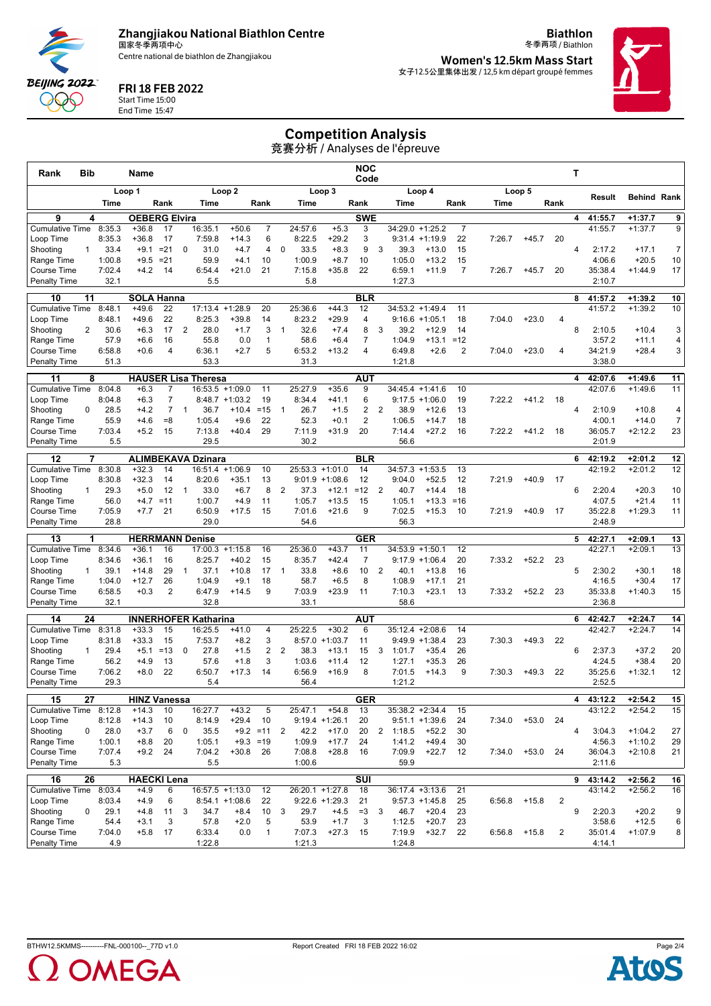**Zhangjiakou National Biathlon Centre** 国家冬季两项中心

Centre national de biathlon de Zhangjiakou

冬季两项 / Biathlon **Women's 12.5km Mass Start** 女子12.5公里集体出发 / 12,5 km départ groupé femmes

**Biathlon**



### FRI 18 FEB 2022

End Time 15:47

**BEIJING 2022** POO

# Start Time 15:00

Competition Analysis

|                                    |                 |                |                                 |                |                |                                      |                    |                            |                |                |                             |                         |                         | 竞赛分析 / Analyses de l'épreuve |                              |                |        |            |                         |   |                    |                        |                      |
|------------------------------------|-----------------|----------------|---------------------------------|----------------|----------------|--------------------------------------|--------------------|----------------------------|----------------|----------------|-----------------------------|-------------------------|-------------------------|------------------------------|------------------------------|----------------|--------|------------|-------------------------|---|--------------------|------------------------|----------------------|
| Rank                               | Bib             |                | Name                            |                |                |                                      |                    |                            |                |                |                             | <b>NOC</b><br>Code      |                         |                              |                              |                |        |            |                         | T |                    |                        |                      |
|                                    |                 |                | Loop 1                          |                |                |                                      | Loop 2             |                            |                |                | Loop 3                      |                         |                         |                              | Loop 4                       |                |        | Loop 5     | Result                  |   |                    | <b>Behind Rank</b>     |                      |
|                                    |                 | Time           |                                 | Rank           |                | Time                                 |                    | Rank                       |                | Time           |                             | Rank                    |                         | Time                         |                              | Rank           | Time   |            | Rank                    |   |                    |                        |                      |
| 9<br><b>Cumulative Time</b>        | 4               | 8:35.3         | <b>OEBERG Elvira</b><br>$+36.8$ | 17             |                | 16:35.1                              | $+50.6$            | $\overline{7}$             |                | 24:57.6        | $+5.3$                      | <b>SWE</b><br>3         |                         |                              | 34:29.0 +1:25.2              | $\overline{7}$ |        |            |                         | 4 | 41:55.7<br>41:55.7 | $+1:37.7$<br>$+1:37.7$ | 9<br>9               |
| Loop Time                          |                 | 8:35.3         | $+36.8$                         | 17             |                | 7:59.8                               | $+14.3$            | 6                          |                | 8:22.5         | $+29.2$                     | 3                       |                         |                              | $9:31.4 +1:19.9$             | 22             | 7:26.7 | $+45.7$    | 20                      |   |                    |                        |                      |
| Shooting                           | $\mathbf{1}$    | 33.4           | $+9.1$                          | $= 21$         | 0              | 31.0                                 | $+4.7$             | 4                          | 0              | 33.5           | $+8.3$                      | 9                       | 3                       | 39.3                         | $+13.0$                      | 15             |        |            |                         | 4 | 2:17.2             | $+17.1$                | $\overline{7}$       |
| Range Time                         |                 | 1:00.8         | $+9.5$                          | $= 21$         |                | 59.9                                 | $+4.1$             | 10                         |                | 1:00.9         | $+8.7$                      | 10                      |                         | 1:05.0                       | $+13.2$                      | 15             |        |            |                         |   | 4:06.6             | $+20.5$                | 10                   |
| Course Time<br><b>Penalty Time</b> |                 | 7:02.4<br>32.1 | $+4.2$                          | 14             |                | 6:54.4<br>5.5                        | $+21.0$            | 21                         |                | 7:15.8<br>5.8  | $+35.8$                     | 22                      |                         | 6:59.1<br>1:27.3             | $+11.9$                      | $\overline{7}$ | 7:26.7 | $+45.7$    | 20                      |   | 35:38.4<br>2:10.7  | $+1:44.9$              | 17                   |
|                                    |                 |                |                                 |                |                |                                      |                    |                            |                |                |                             |                         |                         |                              |                              |                |        |            |                         |   |                    |                        |                      |
| 10<br><b>Cumulative Time</b>       | 11              | 8:48.1         | <b>SOLA Hanna</b><br>$+49.6$    | 22             |                | 17:13.4                              | $+1:28.9$          | 20                         |                | 25:36.6        | $+44.3$                     | <b>BLR</b><br>12        |                         |                              | 34:53.2 +1:49.4              | 11             |        |            |                         | 8 | 41:57.2<br>41:57.2 | $+1:39.2$<br>$+1:39.2$ | 10<br>10             |
| Loop Time                          |                 | 8:48.1         | $+49.6$                         | 22             |                | 8:25.3                               | $+39.8$            | 14                         |                | 8:23.2         | $+29.9$                     | $\overline{4}$          |                         |                              | $9:16.6 + 1:05.1$            | 18             | 7:04.0 | $+23.0$    | 4                       |   |                    |                        |                      |
| Shooting                           | 2               | 30.6           | $+6.3$                          | 17             | $\overline{2}$ | 28.0                                 | $+1.7$             | 3                          | $\mathbf{1}$   | 32.6           | $+7.4$                      | 8                       | 3                       | 39.2                         | $+12.9$                      | 14             |        |            |                         | 8 | 2:10.5             | $+10.4$                | 3                    |
| Range Time                         |                 | 57.9           | $+6.6$                          | 16             |                | 55.8                                 | 0.0                | $\mathbf{1}$               |                | 58.6           | $+6.4$                      | 7                       |                         | 1:04.9                       | $+13.1$                      | $=12$          |        |            |                         |   | 3:57.2             | $+11.1$                | 4                    |
| Course Time                        |                 | 6:58.8         | $+0.6$                          | 4              |                | 6:36.1                               | $+2.7$             | 5                          |                | 6:53.2         | $+13.2$                     | $\overline{4}$          |                         | 6:49.8                       | $+2.6$                       | 2              | 7:04.0 | $+23.0$    | 4                       |   | 34:21.9            | $+28.4$                | 3                    |
| <b>Penalty Time</b>                |                 | 51.3           |                                 |                |                | 53.3                                 |                    |                            |                | 31.3           |                             |                         |                         | 1:21.8                       |                              |                |        |            |                         |   | 3:38.0             |                        |                      |
| 11                                 | 8               |                |                                 |                |                | <b>HAUSER Lisa Theresa</b>           |                    |                            |                |                |                             | <b>AUT</b>              |                         |                              |                              |                |        |            |                         | 4 | 42:07.6            | $+1:49.6$              | 11                   |
| <b>Cumulative Time</b>             |                 | 8:04.8         | $+6.3$                          | 7              |                |                                      | $16:53.5 + 1:09.0$ | 11                         |                | 25:27.9        | $+35.6$                     | 9                       |                         |                              | 34:45.4 +1:41.6              | 10             |        |            |                         |   | 42:07.6            | $+1:49.6$              | 11                   |
| Loop Time                          |                 | 8:04.8         | $+6.3$                          | 7              |                |                                      | $8:48.7 +1:03.2$   | 19                         |                | 8:34.4         | $+41.1$                     | 6                       |                         |                              | $9:17.5 + 1:06.0$            | 19             | 7:22.2 | $+41.2$    | 18                      |   |                    |                        |                      |
| Shooting                           | 0               | 28.5           | $+4.2$                          | $\overline{7}$ | $\overline{1}$ | 36.7                                 | $+10.4$            | $=15$                      | $\mathbf{1}$   | 26.7           | $+1.5$                      | 2                       | $\overline{2}$          | 38.9                         | $+12.6$                      | 13             |        |            |                         | 4 | 2:10.9             | $+10.8$                | 4                    |
| Range Time<br>Course Time          |                 | 55.9<br>7:03.4 | $+4.6$<br>$+5.2$                | $= 8$<br>15    |                | 1:05.4<br>7:13.8                     | $+9.6$<br>$+40.4$  | 22<br>29                   |                | 52.3<br>7:11.9 | $+0.1$<br>$+31.9$           | 2<br>20                 |                         | 1:06.5<br>7:14.4             | $+14.7$<br>$+27.2$           | 18<br>16       | 7:22.2 | $+41.2$    | 18                      |   | 4:00.1<br>36:05.7  | $+14.0$<br>$+2:12.2$   | $\overline{7}$<br>23 |
| <b>Penalty Time</b>                |                 | 5.5            |                                 |                |                | 29.5                                 |                    |                            |                | 30.2           |                             |                         |                         | 56.6                         |                              |                |        |            |                         |   | 2:01.9             |                        |                      |
|                                    |                 |                |                                 |                |                |                                      |                    |                            |                |                |                             |                         |                         |                              |                              |                |        |            |                         |   |                    |                        |                      |
| 12<br><b>Cumulative Time</b>       | 7               | 8:30.8         | $+32.3$                         | 14             |                | <b>ALIMBEKAVA Dzinara</b><br>16:51.4 | $+1:06.9$          | 10                         |                | 25:53.3        | $+1:01.0$                   | <b>BLR</b><br>14        |                         |                              | $34:57.3 +1:53.5$            | 13             |        |            |                         | 6 | 42:19.2<br>42:19.2 | $+2:01.2$<br>$+2:01.2$ | 12<br>12             |
| Loop Time                          |                 | 8:30.8         | $+32.3$                         | 14             |                | 8:20.6                               | +35.1              | 13                         |                |                | $9:01.9 +1:08.6$            | 12                      |                         | 9:04.0                       | $+52.5$                      | 12             | 7:21.9 | $+40.9$    | 17                      |   |                    |                        |                      |
| Shooting                           | $\mathbf{1}$    | 29.3           | $+5.0$                          | 12             | $\overline{1}$ | 33.0                                 | $+6.7$             | 8                          | $\overline{2}$ | 37.3           | $+12.1$                     | $=12$                   | $\overline{2}$          | 40.7                         | $+14.4$                      | 18             |        |            |                         | 6 | 2:20.4             | $+20.3$                | 10                   |
| Range Time                         |                 | 56.0           | $+4.7$                          | $=11$          |                | 1:00.7                               | $+4.9$             | 11                         |                | 1:05.7         | $+13.5$                     | 15                      |                         | 1:05.1                       | $+13.3$                      | $= 16$         |        |            |                         |   | 4:07.5             | $+21.4$                | 11                   |
| <b>Course Time</b>                 |                 | 7:05.9         | $+7.7$                          | 21             |                | 6:50.9                               | $+17.5$            | 15                         |                | 7:01.6         | $+21.6$                     | 9                       |                         | 7:02.5                       | $+15.3$                      | 10             | 7:21.9 | $+40.9$    | 17                      |   | 35:22.8            | $+1:29.3$              | 11                   |
| <b>Penalty Time</b>                |                 | 28.8           |                                 |                |                | 29.0                                 |                    |                            |                | 54.6           |                             |                         |                         | 56.3                         |                              |                |        |            |                         |   | 2:48.9             |                        |                      |
| 13                                 | 1               |                | <b>HERRMANN Denise</b>          |                |                |                                      |                    |                            |                |                |                             | <b>GER</b>              |                         |                              |                              |                |        |            |                         |   | 542:27.1           | $+2:09.1$              | 13                   |
| <b>Cumulative Time</b>             |                 | 8:34.6         | $+36.1$                         | 16             |                | 17:00.3                              | $+1:15.8$          | 16                         |                | 25:36.0        | $+43.7$                     | 11                      |                         | $34:53.9 + 1:50.1$           |                              | 12             |        |            |                         |   | 42:27.1            | $+2:09.1$              | 13                   |
| Loop Time                          |                 | 8:34.6         | $+36.1$                         | 16             |                | 8:25.7                               | $+40.2$            | 15                         |                | 8:35.7         | +42.4                       | $\overline{7}$          |                         |                              | $9:17.9 + 1:06.4$            | 20             | 7:33.2 | $+52.2$    | 23                      |   |                    |                        |                      |
| Shooting                           | 1               | 39.1<br>1:04.0 | $+14.8$<br>$+12.7$              | 29<br>26       | $\mathbf{1}$   | 37.1<br>1:04.9                       | $+10.8$            | 17<br>18                   | $\mathbf{1}$   | 33.8<br>58.7   | $+8.6$<br>$+6.5$            | 10<br>8                 | 2                       | 40.1<br>1:08.9               | $+13.8$                      | 16<br>21       |        |            |                         | 5 | 2:30.2<br>4:16.5   | $+30.1$<br>$+30.4$     | 18<br>17             |
| Range Time<br>Course Time          |                 | 6:58.5         | $+0.3$                          | 2              |                | 6:47.9                               | $+9.1$<br>$+14.5$  | 9                          |                | 7:03.9         | $+23.9$                     | 11                      |                         | 7:10.3                       | $+17.1$<br>$+23.1$           | 13             | 7:33.2 | $+52.2$    | 23                      |   | 35:33.8            | $+1:40.3$              | 15                   |
| <b>Penalty Time</b>                |                 | 32.1           |                                 |                |                | 32.8                                 |                    |                            |                | 33.1           |                             |                         |                         | 58.6                         |                              |                |        |            |                         |   | 2:36.8             |                        |                      |
| 14                                 | 24              |                |                                 |                |                | <b>INNERHOFER Katharina</b>          |                    |                            |                |                |                             | AUT                     |                         |                              |                              |                |        |            |                         | 6 | 42:42.7            | $+2:24.7$              | 14                   |
| <b>Cumulative Time</b>             |                 | 8:31.8         | $+33.3$                         | 15             |                | 16:25.5                              | $+41.0$            | 4                          |                | 25:22.5        | $+30.2$                     | 6                       |                         |                              | $35:12.4 +2:08.6$            | 14             |        |            |                         |   | 42:42.7            | $+2:24.7$              | 14                   |
| Loop Time                          |                 | 8:31.8         | $+33.3$                         | 15             |                | 7:53.7                               | $+8.2$             | 3                          |                | 8:57.0         | $+1:03.7$                   | 11                      |                         |                              | $9:49.9 +1:38.4$             | 23             | 7:30.3 | $+49.3$    | 22                      |   |                    |                        |                      |
| Shooting                           | $\mathbf{1}$    | 29.4           | $+5.1$                          | $=13$          | 0              | 27.8                                 | $+1.5$             | $\overline{2}$             | 2              | 38.3           | $+13.1$                     | 15                      | 3                       | 1:01.7                       | $+35.4$                      | 26             |        |            |                         | 6 | 2:37.3             | $+37.2$                | 20                   |
| Range Time                         |                 | 56.2           | $+4.9$                          | 13             |                | 57.6                                 | $+1.8$             | 3                          |                | 1:03.6         | $+11.4$                     | 12                      |                         | 1:27.1                       | $+35.3$                      | 26             |        |            |                         |   | 4:24.5             | $+38.4$                | 20                   |
| <b>Course Time</b>                 |                 | 7:06.2         | $+8.0$                          | 22             |                | 6:50.7                               | $+17.3$            | 14                         |                | 6:56.9         | $+16.9$                     | 8                       |                         | 7:01.5                       | $+14.3$                      | 9              | 7:30.3 | $+49.3$    | 22                      |   | 35:25.6            | $+1:32.1$              | 12                   |
| <b>Penalty Time</b>                |                 | 29.3           |                                 |                |                | 5.4                                  |                    |                            |                | 56.4           |                             |                         |                         | 1:21.2                       |                              |                |        |            |                         |   | 2:52.5             |                        |                      |
| 15                                 | $\overline{27}$ |                | <b>HINZ Vanessa</b>             |                |                |                                      |                    |                            |                |                |                             | <b>GER</b>              |                         |                              |                              |                |        |            |                         | 4 | 43:12.2            | $+2:54.2$              | 15                   |
| Cumulative Time 8:12.8             |                 |                | $+14.3$                         | 10             |                | 16:27.7                              | $+43.2$            | 5                          |                | 25:47.1        | $+54.8$                     | 13                      |                         |                              | 35:38.2 +2:34.4              | 15             |        |            |                         |   | 43:12.2            | $+2:54.2$              | 15                   |
| Loop Time<br>Shooting              | 0               | 8:12.8<br>28.0 | $+14.3$<br>$+3.7$               | 10<br>6        | $\mathbf 0$    | 8:14.9<br>35.5                       | $+29.4$            | 10<br>$+9.2 = 11$ 2        |                | 42.2           | $9:19.4 +1:26.1$<br>$+17.0$ | 20<br>20                |                         | $2 \quad 1:18.5$             | $9:51.1 + 1:39.6$<br>$+52.2$ | 24<br>30       | 7:34.0 | $+53.0$ 24 |                         | 4 | 3:04.3             | $+1:04.2$              | 27                   |
| Range Time                         |                 | 1:00.1         | $+8.8$                          | 20             |                | 1:05.1                               | $+9.3 = 19$        |                            |                | 1:09.9         | $+17.7$                     | 24                      |                         | 1:41.2                       | $+49.4$                      | 30             |        |            |                         |   | 4:56.3             | $+1:10.2$              | 29                   |
| Course Time                        |                 | 7:07.4         | $+9.2$                          | 24             |                | 7:04.2                               | $+30.8$            | 26                         |                | 7:08.8         | $+28.8$                     | 16                      |                         | 7:09.9                       | $+22.7$                      | 12             | 7:34.0 | $+53.0$    | 24                      |   | 36:04.3            | $+2:10.8$              | 21                   |
| Penalty Time                       |                 | 5.3            |                                 |                |                | 5.5                                  |                    |                            |                | 1:00.6         |                             |                         |                         | 59.9                         |                              |                |        |            |                         |   | 2:11.6             |                        |                      |
| 16                                 | 26              |                | <b>HAECKI Lena</b>              |                |                |                                      |                    |                            |                |                |                             | $\overline{\text{SUI}}$ |                         |                              |                              |                |        |            |                         | 9 | 43:14.2            | $+2:56.2$              | 16                   |
| Cumulative Time 8:03.4             |                 |                | $+4.9$                          | 6              |                |                                      | $16:57.5 +1:13.0$  | 12                         |                |                | 26:20.1 +1:27.8             | 18                      |                         |                              | $36:17.4 + 3:13.6$           | 21             |        |            |                         |   | 43:14.2            | $+2:56.2$              | 16                   |
| Loop Time                          |                 | 8:03.4         | $+4.9$                          | 6              |                |                                      | $8:54.1 + 1:08.6$  | 22                         |                |                | $9:22.6 +1:29.3$            | 21                      |                         |                              | $9:57.3 +1:45.8$             | 25             | 6:56.8 | $+15.8$    | $\overline{2}$          |   |                    |                        |                      |
| Shooting                           | $\mathbf 0$     | 29.1           | $+4.8$                          | 11             | $\mathbf{3}$   | 34.7                                 | $+8.4$             | 10                         | 3              | 29.7           | $+4.5$                      | $=3$                    | $\overline{\mathbf{3}}$ | 46.7                         | $+20.4$                      | 23             |        |            |                         | 9 | 2:20.3             | $+20.2$                | 9                    |
| Range Time<br>Course Time          |                 | 54.4<br>7:04.0 | $+3.1$<br>$+5.8$                | 3<br>17        |                | 57.8<br>6:33.4                       | $+2.0$<br>0.0      | $\sqrt{5}$<br>$\mathbf{1}$ |                | 53.9<br>7:07.3 | $+1.7$<br>$+27.3$           | 3<br>15                 |                         | 1:12.5<br>7:19.9             | $+20.7$<br>$+32.7$ 22        | 23             | 6:56.8 | $+15.8$    | $\overline{\mathbf{c}}$ |   | 3:58.6<br>35:01.4  | $+12.5$<br>$+1:07.9$   | 6<br>8               |
| <b>Penalty Time</b>                |                 | 4.9            |                                 |                |                | 1:22.8                               |                    |                            |                | 1:21.3         |                             |                         |                         | 1:24.8                       |                              |                |        |            |                         |   | 4:14.1             |                        |                      |
|                                    |                 |                |                                 |                |                |                                      |                    |                            |                |                |                             |                         |                         |                              |                              |                |        |            |                         |   |                    |                        |                      |



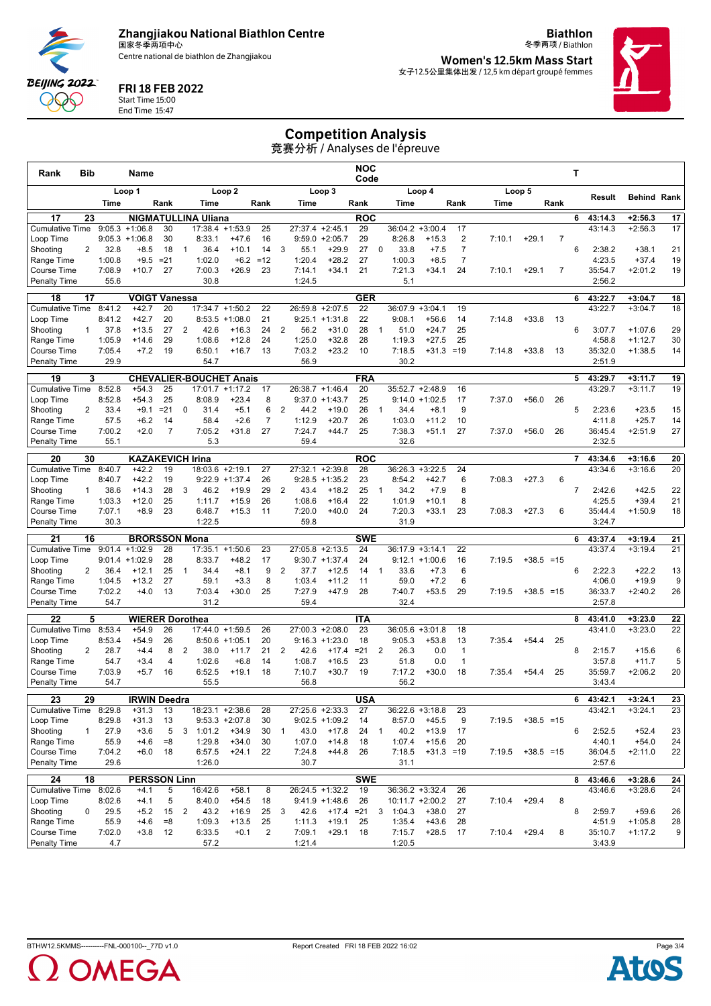**Zhangjiakou National Biathlon Centre** 国家冬季两项中心

Centre national de biathlon de Zhangjiakou

冬季两项 / Biathlon **Women's 12.5km Mass Start** 女子12.5公里集体出发 / 12,5 km départ groupé femmes

**Biathlon**



### FRI 18 FEB 2022 Start Time 15:00

**BEIJING 2022** QQQ End Time 15:47

## Competition Analysis

竞赛分析 / Analyses de l'épreuve

| Rank                                      | Bib             |                  | Name                              |              |                |                                |                      |                | <b>NOC</b><br>Code |                   |                               |                  |                |                           |                                          |                      |        | т            |                |                |                    |                        |          |  |
|-------------------------------------------|-----------------|------------------|-----------------------------------|--------------|----------------|--------------------------------|----------------------|----------------|--------------------|-------------------|-------------------------------|------------------|----------------|---------------------------|------------------------------------------|----------------------|--------|--------------|----------------|----------------|--------------------|------------------------|----------|--|
|                                           |                 |                  | Loop 1                            |              |                |                                | Loop <sub>2</sub>    |                |                    |                   | Loop 3                        |                  |                |                           | Loop 4                                   |                      |        | Loop 5       |                |                | Result             | <b>Behind Rank</b>     |          |  |
|                                           |                 | Time             |                                   | Rank         |                | Time                           |                      | Rank           |                    | Time              |                               | Rank             |                | Time                      |                                          | Rank                 | Time   |              | Rank           |                |                    |                        |          |  |
| 17                                        | 23              |                  |                                   |              |                | <b>NIGMATULLINA Uliana</b>     |                      |                |                    | 27:37.4           |                               | <b>ROC</b>       |                |                           |                                          |                      |        |              |                | 6              | 43:14.3            | $+2:56.3$              | 17       |  |
| <b>Cumulative Time</b><br>Loop Time       |                 | 9:05.3           | $+1:06.8$<br>$9:05.3 +1:06.8$     | 30<br>30     |                | 17:38.4<br>8:33.1              | $+1:53.9$<br>$+47.6$ | 25<br>16       |                    |                   | $+2:45.1$<br>$9:59.0 +2:05.7$ | 29<br>29         |                | 36:04.2<br>8:26.8         | $+3:00.4$<br>$+15.3$                     | 17<br>$\overline{2}$ | 7:10.1 | $+29.1$      | $\overline{7}$ |                | 43:14.3            | $+2:56.3$              | 17       |  |
| Shooting                                  | 2               | 32.8             | $+8.5$                            | 18           | $\mathbf{1}$   | 36.4                           | $+10.1$              | 14             | 3                  | 55.1              | $+29.9$                       | 27               | $\mathbf 0$    | 33.8                      | $+7.5$                                   | $\overline{7}$       |        |              |                | 6              | 2:38.2             | $+38.1$                | 21       |  |
| Range Time                                |                 | 1:00.8           | $+9.5$                            | $= 21$       |                | 1:02.0                         | $+6.2$               | $=12$          |                    | 1:20.4            | $+28.2$                       | 27               |                | 1:00.3                    | $+8.5$                                   | $\overline{7}$       |        |              |                |                | 4:23.5             | $+37.4$                | 19       |  |
| Course Time                               |                 | 7:08.9           | $+10.7$                           | 27           |                | 7:00.3                         | $+26.9$              | 23             |                    | 7:14.1            | $+34.1$                       | 21               |                | 7:21.3                    | $+34.1$                                  | 24                   | 7:10.1 | $+29.1$      | $\overline{7}$ |                | 35:54.7            | $+2:01.2$              | 19       |  |
| <b>Penalty Time</b>                       |                 | 55.6             |                                   |              |                | 30.8                           |                      |                |                    | 1:24.5            |                               |                  |                | 5.1                       |                                          |                      |        |              |                |                | 2:56.2             |                        |          |  |
| 18                                        | 17              |                  | <b>VOIGT Vanessa</b>              |              |                |                                |                      |                |                    |                   |                               | <b>GER</b>       |                |                           |                                          |                      |        |              |                | 6              | 43:22.7            | $+3:04.7$              | 18       |  |
| <b>Cumulative Time</b><br>Loop Time       |                 | 8:41.2<br>8:41.2 | $+42.7$<br>$+42.7$                | 20<br>20     |                | 17:34.7 +1:50.2<br>8:53.5      | $+1:08.0$            | 22<br>21       |                    | 26:59.8<br>9:25.1 | $+2:07.5$<br>$+1:31.8$        | 22<br>22         |                | 36:07.9 +3:04.1<br>9:08.1 | $+56.6$                                  | 19<br>14             | 7:14.8 | $+33.8$      | 13             |                | 43:22.7            | $+3:04.7$              | 18       |  |
| Shooting                                  | $\mathbf{1}$    | 37.8             | $+13.5$                           | 27           | $\overline{2}$ | 42.6                           | $+16.3$              | 24             | 2                  | 56.2              | $+31.0$                       | 28               | $\mathbf{1}$   | 51.0                      | $+24.7$                                  | 25                   |        |              |                | 6              | 3:07.7             | $+1:07.6$              | 29       |  |
| Range Time                                |                 | 1:05.9           | $+14.6$                           | 29           |                | 1:08.6                         | $+12.8$              | 24             |                    | 1:25.0            | $+32.8$                       | 28               |                | 1:19.3                    | $+27.5$                                  | 25                   |        |              |                |                | 4:58.8             | $+1:12.7$              | 30       |  |
| Course Time                               |                 | 7:05.4           | $+7.2$                            | 19           |                | 6:50.1                         | $+16.7$              | 13             |                    | 7:03.2            | $+23.2$                       | 10               |                | 7:18.5                    | $+31.3 = 19$                             |                      | 7:14.8 | $+33.8$      | 13             |                | 35:32.0            | $+1:38.5$              | 14       |  |
| <b>Penalty Time</b>                       |                 | 29.9             |                                   |              |                | 54.7                           |                      |                |                    | 56.9              |                               |                  |                | 30.2                      |                                          |                      |        |              |                |                | 2:51.9             |                        |          |  |
| 19                                        | 3               |                  |                                   |              |                | <b>CHEVALIER-BOUCHET Anais</b> |                      |                |                    |                   |                               | <b>FRA</b>       |                |                           |                                          |                      |        |              |                | 5              | 43:29.7            | $+3:11.7$              | 19       |  |
| <b>Cumulative Time</b>                    |                 | 8:52.8           | $+54.3$                           | 25           |                |                                | 17:01.7 +1:17.2      | 17             |                    | 26:38.7 +1:46.4   |                               | 20               |                |                           | 35:52.7 +2:48.9                          | 16                   |        |              |                |                | 43:29.7            | $+3:11.7$              | 19       |  |
| Loop Time<br>Shooting                     | 2               | 8:52.8<br>33.4   | $+54.3$<br>$+9.1$                 | 25<br>$= 21$ | 0              | 8:08.9<br>31.4                 | $+23.4$<br>$+5.1$    | 8<br>6         | 2                  | 9:37.0<br>44.2    | $+1:43.7$<br>$+19.0$          | 25<br>26         | $\overline{1}$ | 34.4                      | $9:14.0 + 1:02.5$<br>$+8.1$              | 17<br>9              | 7:37.0 | $+56.0$      | 26             | 5              | 2:23.6             | $+23.5$                | 15       |  |
| Range Time                                |                 | 57.5             | $+6.2$                            | 14           |                | 58.4                           | $+2.6$               | $\overline{7}$ |                    | 1:12.9            | $+20.7$                       | 26               |                | 1:03.0                    | $+11.2$                                  | 10                   |        |              |                |                | 4:11.8             | $+25.7$                | 14       |  |
| Course Time                               |                 | 7:00.2           | $+2.0$                            | 7            |                | 7:05.2                         | $+31.8$              | 27             |                    | 7:24.7            | $+44.7$                       | 25               |                | 7:38.3                    | $+51.1$                                  | 27                   | 7:37.0 | $+56.0$      | 26             |                | 36:45.4            | $+2:51.9$              | 27       |  |
| Penalty Time                              |                 | 55.1             |                                   |              |                | 5.3                            |                      |                |                    | 59.4              |                               |                  |                | 32.6                      |                                          |                      |        |              |                |                | 2:32.5             |                        |          |  |
| 20                                        | 30              |                  | <b>KAZAKEVICH Irina</b>           |              |                |                                |                      |                |                    |                   |                               | <b>ROC</b>       |                |                           |                                          |                      |        |              |                | $\overline{7}$ | 43:34.6            | $+3:16.6$              | 20       |  |
| <b>Cumulative Time</b>                    |                 | 8:40.7           | $+42.2$                           | 19           |                | 18:03.6 +2:19.1                |                      | 27             |                    | 27:32.1 +2:39.8   |                               | 28               |                | 36:26.3                   | $+3:22.5$                                | 24                   |        |              |                |                | 43:34.6            | $+3:16.6$              | 20       |  |
| Loop Time                                 |                 | 8:40.7           | $+42.2$                           | 19           |                |                                | $9:22.9$ +1:37.4     | 26             |                    | 9:28.5            | $+1:35.2$                     | 23               |                | 8:54.2                    | $+42.7$                                  | 6                    | 7:08.3 | $+27.3$      | 6              |                |                    |                        |          |  |
| Shooting                                  | $\mathbf{1}$    | 38.6             | $+14.3$                           | 28           | 3              | 46.2                           | $+19.9$              | 29             | 2                  | 43.4              | $+18.2$                       | 25               | $\overline{1}$ | 34.2                      | $+7.9$                                   | 8                    |        |              |                | $\overline{7}$ | 2:42.6             | $+42.5$                | 22       |  |
| Range Time<br>Course Time                 |                 | 1:03.3<br>7:07.1 | $+12.0$<br>$+8.9$                 | 25<br>23     |                | 1:11.7<br>6:48.7               | $+15.9$<br>$+15.3$   | 26<br>11       |                    | 1:08.6<br>7:20.0  | $+16.4$<br>$+40.0$            | 22<br>24         |                | 1:01.9<br>7:20.3          | $+10.1$<br>$+33.1$                       | 8<br>23              | 7:08.3 | $+27.3$      | 6              |                | 4:25.5<br>35:44.4  | $+39.4$<br>$+1:50.9$   | 21<br>18 |  |
| <b>Penalty Time</b>                       |                 | 30.3             |                                   |              |                | 1:22.5                         |                      |                |                    | 59.8              |                               |                  |                | 31.9                      |                                          |                      |        |              |                |                | 3:24.7             |                        |          |  |
| 21                                        | 16              |                  | <b>BRORSSON Mona</b>              |              |                |                                |                      |                |                    |                   |                               | <b>SWE</b>       |                |                           |                                          |                      |        |              |                | 6              | 43:37.4            | $+3:19.4$              | 21       |  |
| <b>Cumulative Time</b>                    |                 |                  | $9:01.4 +1:02.9$                  | 28           |                | 17:35.1                        | $+1:50.6$            | 23             |                    | 27:05.8           | $+2:13.5$                     | 24               |                | 36:17.9                   | $+3:14.1$                                | 22                   |        |              |                |                | 43:37.4            | $+3:19.4$              | 21       |  |
| Loop Time                                 |                 |                  | $9:01.4 +1:02.9$                  | 28           |                | 8:33.7                         | $+48.2$              | 17             |                    |                   | $9:30.7 +1:37.4$              | 24               |                |                           | $9:12.1 + 1:00.6$                        | 16                   | 7:19.5 | $+38.5 = 15$ |                |                |                    |                        |          |  |
| Shooting                                  | 2               | 36.4             | $+12.1$                           | 25           | $\mathbf{1}$   | 34.4                           | $+8.1$               | 9              | 2                  | 37.7              | $+12.5$                       | 14               | $\mathbf{1}$   | 33.6                      | $+7.3$                                   | 6                    |        |              |                | 6              | 2:22.3             | $+22.2$                | 13       |  |
| Range Time                                |                 | 1:04.5           | $+13.2$<br>$+4.0$                 | 27           |                | 59.1                           | $+3.3$               | 8              |                    | 1:03.4            | $+11.2$                       | 11               |                | 59.0                      | $+7.2$                                   | 6<br>29              |        |              |                |                | 4:06.0             | $+19.9$                | 9        |  |
| Course Time<br><b>Penalty Time</b>        |                 | 7:02.2<br>54.7   |                                   | 13           |                | 7:03.4<br>31.2                 | $+30.0$              | 25             |                    | 7:27.9<br>59.4    | $+47.9$                       | 28               |                | 7:40.7<br>32.4            | $+53.5$                                  |                      | 7:19.5 | $+38.5 = 15$ |                |                | 36:33.7<br>2:57.8  | $+2:40.2$              | 26       |  |
|                                           |                 |                  |                                   |              |                |                                |                      |                |                    |                   |                               |                  |                |                           |                                          |                      |        |              |                |                |                    |                        |          |  |
| 22<br><b>Cumulative Time</b>              | 5               | 8:53.4           | <b>WIERER Dorothea</b><br>$+54.9$ | 26           |                |                                | 17:44.0 +1:59.5      | 26             |                    | 27:00.3           | $+2:08.0$                     | <b>ITA</b><br>23 |                | 36:05.6                   | $+3:01.8$                                | 18                   |        |              |                | 8              | 43:41.0<br>43:41.0 | $+3:23.0$<br>$+3:23.0$ | 22<br>22 |  |
| Loop Time                                 |                 | 8:53.4           | $+54.9$                           | 26           |                |                                | $8:50.6 +1:05.1$     | 20             |                    |                   | $9:16.3 + 1:23.0$             | 18               |                | 9:05.3                    | $+53.8$                                  | 13                   | 7:35.4 | $+54.4$      | 25             |                |                    |                        |          |  |
| Shooting                                  | 2               | 28.7             | $+4.4$                            | 8            | $\overline{2}$ | 38.0                           | $+11.7$              | 21             | $\overline{2}$     | 42.6              | $+17.4$                       | $= 21$           | 2              | 26.3                      | 0.0                                      | $\mathbf{1}$         |        |              |                | 8              | 2:15.7             | $+15.6$                | 6        |  |
| Range Time                                |                 | 54.7             | $+3.4$                            | 4            |                | 1:02.6                         | $+6.8$               | 14             |                    | 1:08.7            | $+16.5$                       | 23               |                | 51.8                      | 0.0                                      | $\overline{1}$       |        |              |                |                | 3:57.8             | $+11.7$                | 5        |  |
| Course Time<br><b>Penalty Time</b>        |                 | 7:03.9<br>54.7   | $+5.7$                            | 16           |                | 6:52.5<br>55.5                 | $+19.1$              | 18             |                    | 7:10.7<br>56.8    | $+30.7$                       | 19               |                | 7:17.2<br>56.2            | $+30.0$                                  | 18                   | 7:35.4 | $+54.4$      | 25             |                | 35:59.7<br>3:43.4  | $+2:06.2$              | 20       |  |
|                                           |                 |                  |                                   |              |                |                                |                      |                |                    |                   |                               |                  |                |                           |                                          |                      |        |              |                |                |                    |                        |          |  |
| $\overline{23}$<br>Cumulative Time 8:29.8 | $\overline{29}$ |                  | <b>IRWIN Deedra</b><br>$+31.3$    | 13           |                |                                | 18:23.1 +2:38.6      | 28             |                    | 27:25.6 +2:33.3   |                               | <b>USA</b><br>27 |                |                           | $36:22.6 + 3:18.8$                       | 23                   |        |              |                | 6              | 43:42.1<br>43:42.1 | $+3:24.1$<br>$+3:24.1$ | 23<br>23 |  |
| Loop Time                                 |                 | 8:29.8           | $+31.3$                           | 13           |                |                                | $9:53.3 +2:07.8$     | 30             |                    |                   | $9:02.5 +1:09.2$              | 14               |                | 8:57.0                    | $+45.5$                                  | 9                    | 7:19.5 | $+38.5 = 15$ |                |                |                    |                        |          |  |
| Shooting                                  | 1               | 27.9             | $+3.6$                            | 5            | 3              | 1:01.2                         | $+34.9$              | 30             | $\overline{1}$     | 43.0              | $+17.8$                       | 24               | $\overline{1}$ | 40.2                      | $+13.9$                                  | 17                   |        |              |                | 6              | 2:52.5             | $+52.4$                | 23       |  |
| Range Time                                |                 | 55.9             | $+4.6$                            | $= 8$        |                | 1:29.8                         | $+34.0$              | 30             |                    | 1:07.0            | $+14.8$                       | 18               |                | 1:07.4                    | $+15.6$                                  | 20                   |        |              |                |                | 4:40.1             | $+54.0$                | 24       |  |
| Course Time                               |                 | 7:04.2           | $+6.0$                            | 18           |                | 6:57.5                         | $+24.1$              | 22             |                    | 7:24.8            | $+44.8$                       | 26               |                | 7:18.5                    | $+31.3 = 19$                             |                      | 7:19.5 | $+38.5 = 15$ |                |                | 36:04.5            | $+2:11.0$              | 22       |  |
| <b>Penalty Time</b>                       |                 | 29.6             |                                   |              |                | 1:26.0                         |                      |                |                    | 30.7              |                               |                  |                | 31.1                      |                                          |                      |        |              |                |                | 2:57.6             |                        |          |  |
| 24                                        | $\overline{18}$ |                  | <b>PERSSON Linn</b>               |              |                |                                |                      |                |                    |                   |                               | <b>SWE</b>       |                |                           |                                          |                      |        |              |                | 8              | 43:46.6            | $+3:28.6$              | 24       |  |
| Cumulative Time<br>Loop Time              |                 | 8:02.6<br>8:02.6 | $+4.1$<br>$+4.1$                  | 5<br>5       |                | 16:42.6<br>8:40.0              | $+58.1$<br>$+54.5$   | 8<br>18        |                    | 26:24.5 +1:32.2   | $9:41.9 +1:48.6$              | 19<br>26         |                |                           | $36:36.2 + 3:32.4$<br>$10:11.7 + 2:00.2$ | 26<br>27             | 7:10.4 | $+29.4$      | 8              |                | 43:46.6            | $+3:28.6$              | 24       |  |
| Shooting                                  | 0               | 29.5             | $+5.2$                            | 15           | $\overline{2}$ | 43.2                           | $+16.9$              | 25             | 3                  | 42.6              | $+17.4 = 21$                  |                  |                | $3 \quad 1:04.3$          | $+38.0$                                  | 27                   |        |              |                | 8              | 2:59.7             | $+59.6$                | 26       |  |
| Range Time                                |                 | 55.9             | $+4.6$                            | $=8$         |                | 1:09.3                         | $+13.5$              | 25             |                    | 1:11.3            | $+19.1$                       | 25               |                | 1:35.4                    | $+43.6$                                  | 28                   |        |              |                |                | 4:51.9             | $+1:05.8$              | 28       |  |
| Course Time                               |                 | 7:02.0           | $+3.8$                            | 12           |                | 6:33.5                         | $+0.1$               | 2              |                    | 7:09.1            | $+29.1$                       | 18               |                | 7:15.7                    | $+28.5$                                  | 17                   | 7:10.4 | $+29.4$      | 8              |                | 35:10.7            | $+1:17.2$              | 9        |  |
| Penalty Time                              |                 | 4.7              |                                   |              |                | 57.2                           |                      |                |                    | 1:21.4            |                               |                  |                | 1:20.5                    |                                          |                      |        |              |                |                | 3:43.9             |                        |          |  |